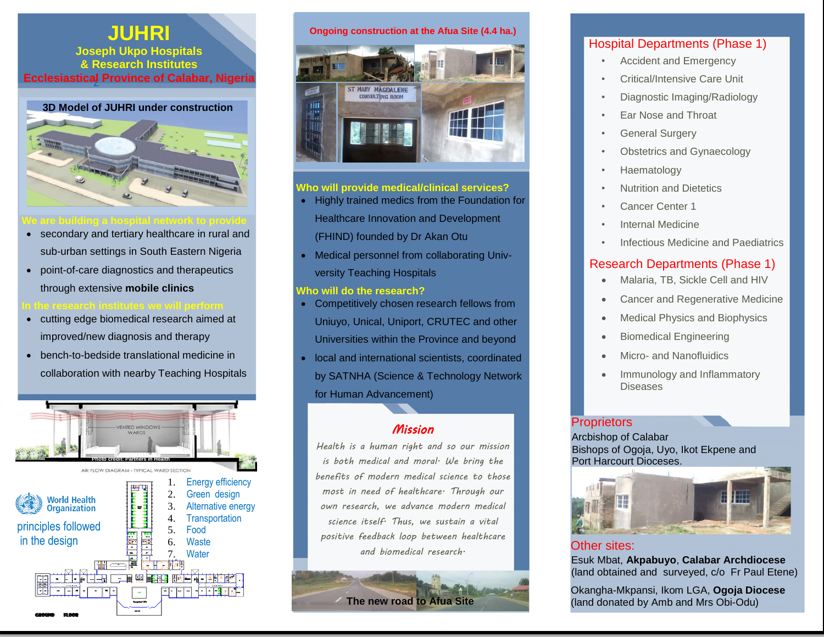# **JUHRI**

z **Ecclesiastical Province of Calabar, Nigeria Joseph Ukpo Hospitals & Research Institutes**



- secondary and tertiary healthcare in rural and sub-urban settings in South Eastern Nigeria
- point-of-care diagnostics and therapeutics through extensive **mobile clinics**
- 
- cutting edge biomedical research aimed at improved/new diagnosis and therapy
- bench-to-bedside translational medicine in collaboration with nearby Teaching Hospitals



#### **Ongoing construction at the Afua Site (4.4 ha.)**



### **Who will provide medical/clinical services?**

- Highly trained medics from the Foundation for Healthcare Innovation and Development (FHIND) founded by Dr Akan Otu
- Medical personnel from collaborating Univversity Teaching Hospitals

### **Who will do the research?**

- Competitively chosen research fellows from Uniuyo, Unical, Uniport, CRUTEC and other Universities within the Province and beyond
- local and international scientists, coordinated by SATNHA (Science & Technology Network for Human Advancement)

# *Mission*

*Health is a human right and so our mission is both medical and moral. We bring the benefits of modern medical science to those most in need of healthcare. Through our own research, we advance modern medical science itself. Thus, we sustain a vital positive feedback loop between healthcare and biomedical research.*

**The new road to Afua Site** 

# Hospital Departments (Phase 1)

- Accident and Emergency
- Critical/Intensive Care Unit
- Diagnostic Imaging/Radiology
- Ear Nose and Throat
- General Surgery
- Obstetrics and Gynaecology
- Haematology
- Nutrition and Dietetics
- Cancer Center 1
- Internal Medicine
- Infectious Medicine and Paediatrics

# Research Departments (Phase 1)

- Malaria, TB, Sickle Cell and HIV
- Cancer and Regenerative Medicine
- Medical Physics and Biophysics
- **•** Biomedical Engineering
- Micro- and Nanofluidics
- Immunology and Inflammatory **Diseases**

# **Proprietors**

 $\overline{a}$ 

Port Harcourt Dioceses. Arcbishop of Calabar Bishops of Ogoja, Uyo, Ikot Ekpene and



Other sites: (land obtained and surveyed, c/o Fr Paul Etene) Esuk Mbat, **Akpabuyo**, **Calabar Archdiocese**

Okangha-Mkpansi, Ikom LGA, **Ogoja Diocese** (land donated by Amb and Mrs Obi-Odu)